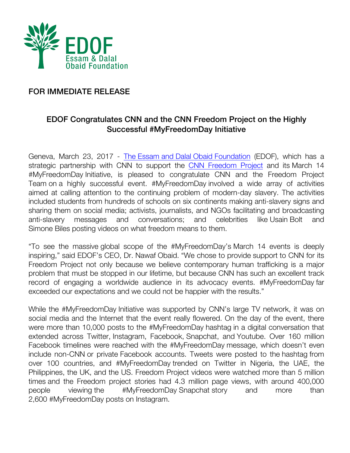

## FOR IMMEDIATE RELEASE

## EDOF Congratulates CNN and the CNN Freedom Project on the Highly Successful #MyFreedomDay Initiative

Geneva, March 23, 2017 - The Essam and Dalal Obaid Foundation (EDOF), which has a strategic partnership with CNN to support the CNN Freedom Project and its March 14 #MyFreedomDay Initiative, is pleased to congratulate CNN and the Freedom Project Team on a highly successful event. #MyFreedomDay involved a wide array of activities aimed at calling attention to the continuing problem of modern-day slavery. The activities included students from hundreds of schools on six continents making anti-slavery signs and sharing them on social media; activists, journalists, and NGOs facilitating and broadcasting anti-slavery messages and conversations; and celebrities like Usain Bolt and Simone Biles posting videos on what freedom means to them.

"To see the massive global scope of the #MyFreedomDay's March 14 events is deeply inspiring," said EDOF's CEO, Dr. Nawaf Obaid. "We chose to provide support to CNN for its Freedom Project not only because we believe contemporary human trafficking is a major problem that must be stopped in our lifetime, but because CNN has such an excellent track record of engaging a worldwide audience in its advocacy events. #MyFreedomDay far exceeded our expectations and we could not be happier with the results."

While the #MyFreedomDay Initiative was supported by CNN's large TV network, it was on social media and the Internet that the event really flowered. On the day of the event, there were more than 10,000 posts to the #MyFreedomDay hashtag in a digital conversation that extended across Twitter, Instagram, Facebook, Snapchat, and Youtube. Over 160 million Facebook timelines were reached with the #MyFreedomDay message, which doesn't even include non-CNN or private Facebook accounts. Tweets were posted to the hashtag from over 100 countries, and #MyFreedomDay trended on Twitter in Nigeria, the UAE, the Philippines, the UK, and the US. Freedom Project videos were watched more than 5 million times and the Freedom project stories had 4.3 million page views, with around 400,000 people viewing the #MyFreedomDay Snapchat story and more than 2,600 #MyFreedomDay posts on Instagram.